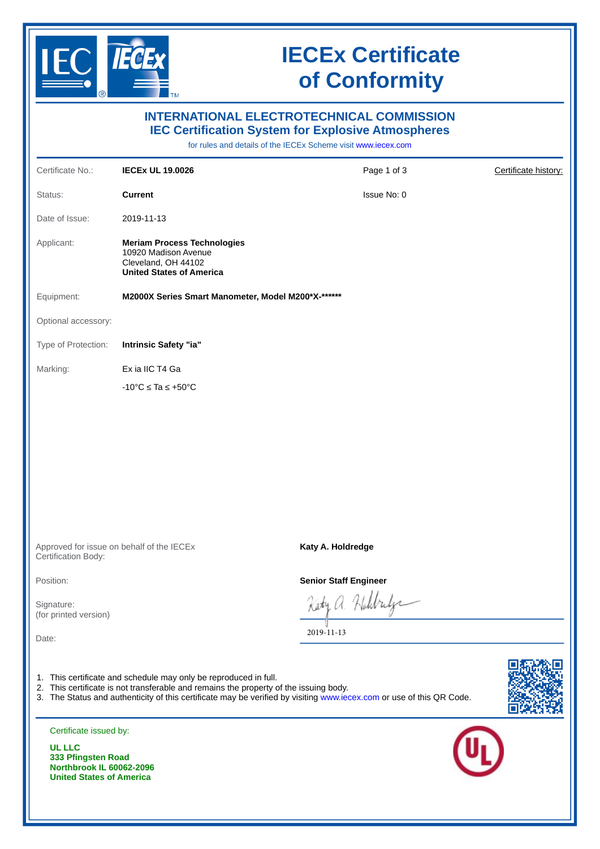

## **IECEx Certificate of Conformity**

| <b>INTERNATIONAL ELECTROTECHNICAL COMMISSION</b><br><b>IEC Certification System for Explosive Atmospheres</b><br>for rules and details of the IECEx Scheme visit www.iecex.com |                                                                                                                                                           |                                                                                                                      |                      |
|--------------------------------------------------------------------------------------------------------------------------------------------------------------------------------|-----------------------------------------------------------------------------------------------------------------------------------------------------------|----------------------------------------------------------------------------------------------------------------------|----------------------|
| Certificate No.:                                                                                                                                                               | <b>IECEX UL 19.0026</b>                                                                                                                                   | Page 1 of 3                                                                                                          | Certificate history: |
| Status:                                                                                                                                                                        | <b>Current</b>                                                                                                                                            | Issue No: 0                                                                                                          |                      |
| Date of Issue:                                                                                                                                                                 | 2019-11-13                                                                                                                                                |                                                                                                                      |                      |
| Applicant:                                                                                                                                                                     | <b>Meriam Process Technologies</b><br>10920 Madison Avenue<br>Cleveland, OH 44102<br><b>United States of America</b>                                      |                                                                                                                      |                      |
| Equipment:                                                                                                                                                                     | M2000X Series Smart Manometer, Model M200*X-******                                                                                                        |                                                                                                                      |                      |
| Optional accessory:                                                                                                                                                            |                                                                                                                                                           |                                                                                                                      |                      |
| Type of Protection:                                                                                                                                                            | Intrinsic Safety "ia"                                                                                                                                     |                                                                                                                      |                      |
| Marking:                                                                                                                                                                       | Ex ia IIC T4 Ga                                                                                                                                           |                                                                                                                      |                      |
|                                                                                                                                                                                | $-10^{\circ}$ C $\leq$ Ta $\leq$ +50 $^{\circ}$ C                                                                                                         |                                                                                                                      |                      |
|                                                                                                                                                                                |                                                                                                                                                           |                                                                                                                      |                      |
| Certification Body:                                                                                                                                                            | Approved for issue on behalf of the IECEx                                                                                                                 | Katy A. Holdredge                                                                                                    |                      |
| Position:                                                                                                                                                                      |                                                                                                                                                           | <b>Senior Staff Engineer</b>                                                                                         |                      |
| Signature:<br>(for printed version)                                                                                                                                            |                                                                                                                                                           | a Holdrid                                                                                                            |                      |
| Date:                                                                                                                                                                          |                                                                                                                                                           | 2019-11-13                                                                                                           |                      |
|                                                                                                                                                                                | 1. This certificate and schedule may only be reproduced in full.<br>2. This certificate is not transferable and remains the property of the issuing body. | 3. The Status and authenticity of this certificate may be verified by visiting www.iecex.com or use of this QR Code. |                      |
| Certificate issued by:<br><b>UL LLC</b><br>333 Pfingsten Road                                                                                                                  |                                                                                                                                                           |                                                                                                                      |                      |
| Northbrook IL 60062-2096<br><b>United States of America</b>                                                                                                                    |                                                                                                                                                           |                                                                                                                      |                      |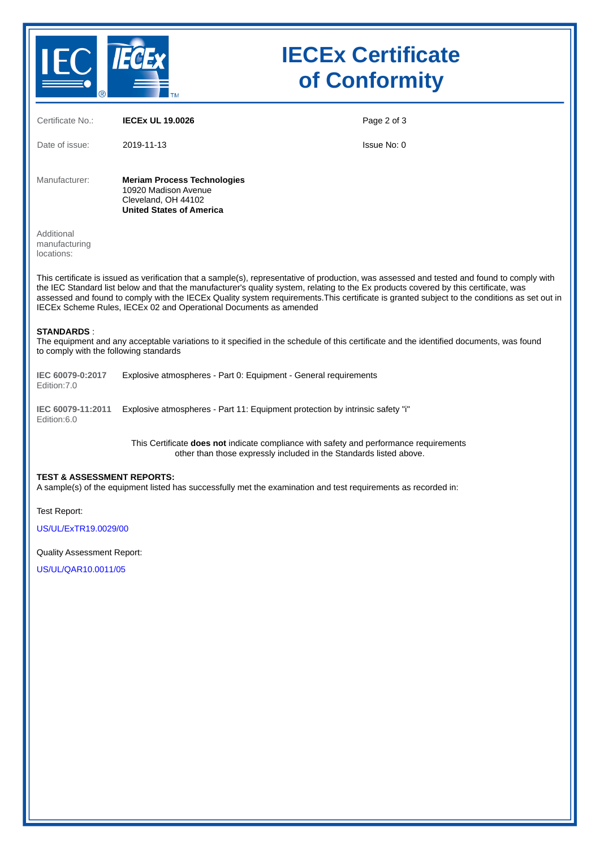

## **IECEx Certificate of Conformity**

| Certificate No.:                                                                                                                                                                                                                                                                                                                                                                                                                                                                                         | <b>IECEX UL 19.0026</b>                                                                                                                                             | Page 2 of 3 |  |  |
|----------------------------------------------------------------------------------------------------------------------------------------------------------------------------------------------------------------------------------------------------------------------------------------------------------------------------------------------------------------------------------------------------------------------------------------------------------------------------------------------------------|---------------------------------------------------------------------------------------------------------------------------------------------------------------------|-------------|--|--|
| Date of issue:                                                                                                                                                                                                                                                                                                                                                                                                                                                                                           | 2019-11-13                                                                                                                                                          | Issue No: 0 |  |  |
| Manufacturer:                                                                                                                                                                                                                                                                                                                                                                                                                                                                                            | <b>Meriam Process Technologies</b><br>10920 Madison Avenue<br>Cleveland, OH 44102<br><b>United States of America</b>                                                |             |  |  |
| Additional<br>manufacturing<br>locations:                                                                                                                                                                                                                                                                                                                                                                                                                                                                |                                                                                                                                                                     |             |  |  |
| This certificate is issued as verification that a sample(s), representative of production, was assessed and tested and found to comply with<br>the IEC Standard list below and that the manufacturer's quality system, relating to the Ex products covered by this certificate, was<br>assessed and found to comply with the IECEx Quality system requirements. This certificate is granted subject to the conditions as set out in<br>IECEx Scheme Rules, IECEx 02 and Operational Documents as amended |                                                                                                                                                                     |             |  |  |
| <b>STANDARDS:</b><br>The equipment and any acceptable variations to it specified in the schedule of this certificate and the identified documents, was found<br>to comply with the following standards                                                                                                                                                                                                                                                                                                   |                                                                                                                                                                     |             |  |  |
| IEC 60079-0:2017<br>Edition: 7.0                                                                                                                                                                                                                                                                                                                                                                                                                                                                         | Explosive atmospheres - Part 0: Equipment - General requirements                                                                                                    |             |  |  |
| IEC 60079-11:2011<br>Edition:6.0                                                                                                                                                                                                                                                                                                                                                                                                                                                                         | Explosive atmospheres - Part 11: Equipment protection by intrinsic safety "i"                                                                                       |             |  |  |
|                                                                                                                                                                                                                                                                                                                                                                                                                                                                                                          | This Certificate <b>does not</b> indicate compliance with safety and performance requirements<br>other than those expressly included in the Standards listed above. |             |  |  |
| <b>TEST &amp; ASSESSMENT REPORTS:</b><br>A sample(s) of the equipment listed has successfully met the examination and test requirements as recorded in:                                                                                                                                                                                                                                                                                                                                                  |                                                                                                                                                                     |             |  |  |
| <b>Test Report:</b><br><b>US/UL/ExTR19.0029/00</b>                                                                                                                                                                                                                                                                                                                                                                                                                                                       |                                                                                                                                                                     |             |  |  |
| <b>Quality Assessment Report:</b>                                                                                                                                                                                                                                                                                                                                                                                                                                                                        |                                                                                                                                                                     |             |  |  |

[US/UL/QAR10.0011/05](https://www.iecex-certs.com/deliverables/REPORT/53247/view)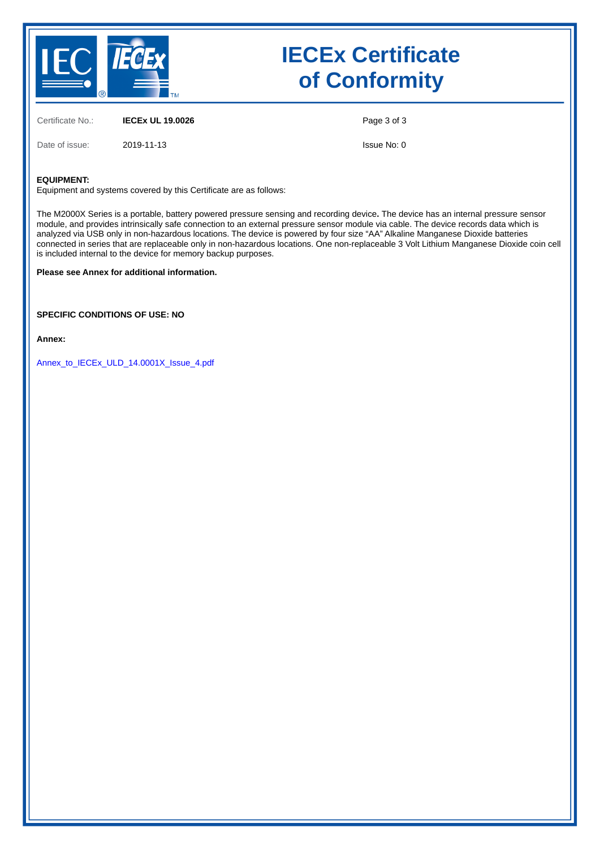

## **IECEx Certificate of Conformity**

Certificate No.: **IECEx UL 19.0026** Date of issue: 2019-11-13

Page 3 of 3

Issue No: 0

#### **EQUIPMENT:**

Equipment and systems covered by this Certificate are as follows:

The M2000X Series is a portable, battery powered pressure sensing and recording device**.** The device has an internal pressure sensor module, and provides intrinsically safe connection to an external pressure sensor module via cable. The device records data which is analyzed via USB only in non-hazardous locations. The device is powered by four size "AA" Alkaline Manganese Dioxide batteries connected in series that are replaceable only in non-hazardous locations. One non-replaceable 3 Volt Lithium Manganese Dioxide coin cell is included internal to the device for memory backup purposes.

#### **Please see Annex for additional information.**

**SPECIFIC CONDITIONS OF USE: NO**

**Annex:**

[Annex\\_to\\_IECEx\\_ULD\\_14.0001X\\_Issue\\_4.pdf](https://www.iecex-certs.com/deliverables/CERT/39785/view)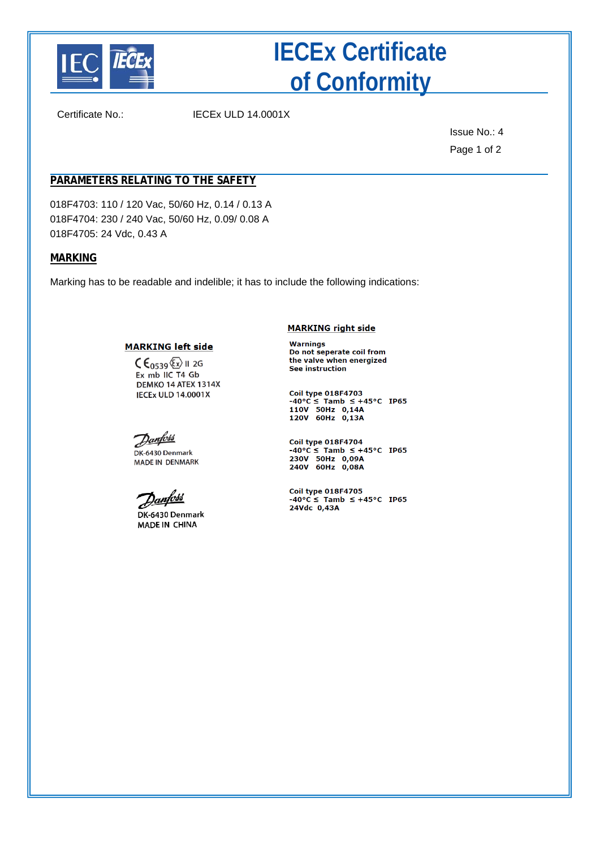

# **IECEx Certificate of Conformity**

Certificate No.: IECEx ULD 14.0001X

Issue No.: 4 Page 1 of 2

### **PARAMETERS RELATING TO THE SAFETY**

018F4703: 110 / 120 Vac, 50/60 Hz, 0.14 / 0.13 A 018F4704: 230 / 240 Vac, 50/60 Hz, 0.09/ 0.08 A 018F4705: 24 Vdc, 0.43 A

#### **MARKING**

Marking has to be readable and indelible; it has to include the following indications:

#### **MARKING left side**

 $C \epsilon_{0539}$  (Ex) II 2G Ex mb IIC T4 Gb DEMKO 14 ATEX 1314X **IECEX ULD 14.0001X** 

<u>Danfoss</u> DK-6430 Denmark **MADE IN DENMARK** 

<u>anfott</u>

DK-6430 Denmark MADE IN CHINA

**MARKING right side** 

Warnings Do not seperate coil from the valve when energized **See instruction** 

**Coil type 018F4703**  $-40^{\circ}C \leq$  Tamb  $\leq +45^{\circ}C$  IP65<br>110V 50Hz 0,14A<br>120V 60Hz 0,13A

Coil type 018F4704  $-40^{\circ}$ C  $\le$  Tamb  $\le$  +45°C IP65<br>230V 50Hz 0,09A<br>240V 60Hz 0,08A

Coil type 018F4705  $-40\degree C \leq$  Tamb  $\leq +45\degree C$  IP65 24Vdc 0,43A